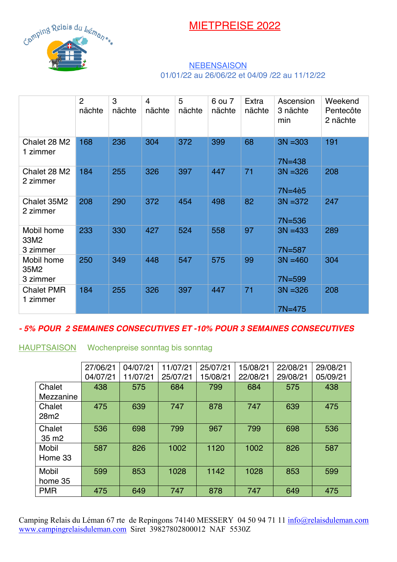**MIETPREISE 2022** 



## **NEBENSAISON** 01/01/22 au 26/06/22 et 04/09 /22 au 11/12/22

|                                | $\overline{2}$<br>nächte | 3<br>nächte | $\overline{4}$<br>nächte | 5<br>nächte | 6 ou 7<br>nächte | Extra<br>nächte | Ascension<br>3 nächte<br>min | Weekend<br>Pentecôte<br>2 nächte |
|--------------------------------|--------------------------|-------------|--------------------------|-------------|------------------|-----------------|------------------------------|----------------------------------|
| Chalet 28 M2<br>1 zimmer       | 168                      | 236         | 304                      | 372         | 399              | 68              | $3N = 303$<br>$7N = 438$     | 191                              |
| Chalet 28 M2<br>2 zimmer       | 184                      | 255         | 326                      | 397         | 447              | 71              | $3N = 326$<br>$7N=4e5$       | 208                              |
| Chalet 35M2<br>2 zimmer        | 208                      | 290         | 372                      | 454         | 498              | 82              | $3N = 372$<br>$7N = 536$     | 247                              |
| Mobil home<br>33M2<br>3 zimmer | 233                      | 330         | 427                      | 524         | 558              | 97              | $3N = 433$<br>7N=587         | 289                              |
| Mobil home<br>35M2<br>3 zimmer | 250                      | 349         | 448                      | 547         | 575              | 99              | $3N = 460$<br>$7N = 599$     | 304                              |
| <b>Chalet PMR</b><br>1 zimmer  | 184                      | 255         | 326                      | 397         | 447              | 71              | $3N = 326$<br>$7N=475$       | 208                              |

## - 5% POUR 2 SEMAINES CONSECUTIVES ET -10% POUR 3 SEMAINES CONSECUTIVES

## **HAUPTSAISON** Wochenpreise sonntag bis sonntag

| 27/06/21 | 04/07/21 | 11/07/21 | 25/07/21 | 15/08/21 | 22/08/21 | 29/08/21 |
|----------|----------|----------|----------|----------|----------|----------|
| 04/07/21 | 11/07/21 | 25/07/21 | 15/08/21 | 22/08/21 | 29/08/21 | 05/09/21 |
| 438      | 575      | 684      | 799      | 684      | 575      | 438      |
|          |          |          |          |          |          |          |
| 475      | 639      | 747      | 878      | 747      | 639      | 475      |
|          |          |          |          |          |          |          |
| 536      | 698      | 799      | 967      | 799      | 698      | 536      |
|          |          |          |          |          |          |          |
| 587      | 826      | 1002     | 1120     | 1002     | 826      | 587      |
|          |          |          |          |          |          |          |
| 599      | 853      | 1028     | 1142     | 1028     | 853      | 599      |
|          |          |          |          |          |          |          |
| 475      | 649      | 747      | 878      | 747      | 649      | 475      |
|          |          |          |          |          |          |          |

Camping Relais du Léman 67 rte de Repingons 74140 MESSERY 04 50 94 71 11 info@relaisduleman.com www.campingrelaisduleman.com Siret 39827802800012 NAF 5530Z